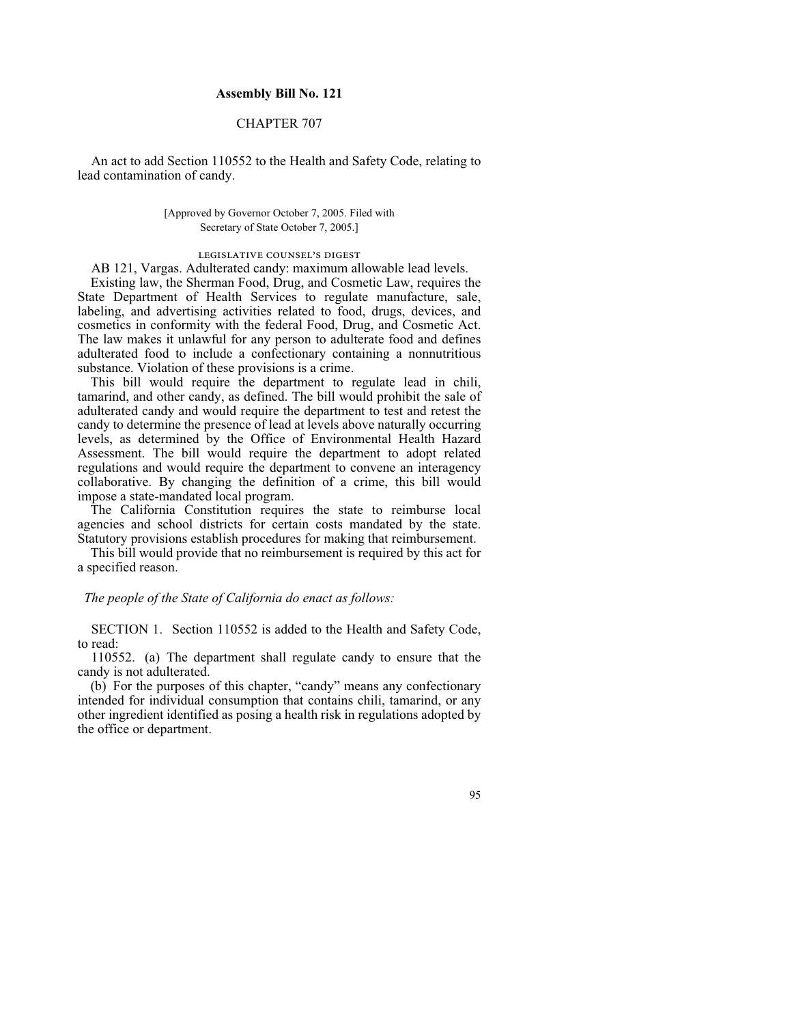## **Assembly Bill No. 121**

## CHAPTER 707

An act to add Section 110552 to the Health and Safety Code, relating to lead contamination of candy.

> [Approved by Governor October 7, 2005. Filed with Secretary of State October 7, 2005.]

## legislative counsel's digest

AB 121, Vargas. Adulterated candy: maximum allowable lead levels. Existing law, the Sherman Food, Drug, and Cosmetic Law, requires the State Department of Health Services to regulate manufacture, sale, labeling, and advertising activities related to food, drugs, devices, and cosmetics in conformity with the federal Food, Drug, and Cosmetic Act. The law makes it unlawful for any person to adulterate food and defines adulterated food to include a confectionary containing a nonnutritious substance. Violation of these provisions is a crime.

This bill would require the department to regulate lead in chili, tamarind, and other candy, as defined. The bill would prohibit the sale of adulterated candy and would require the department to test and retest the candy to determine the presence of lead at levels above naturally occurring levels, as determined by the Office of Environmental Health Hazard Assessment. The bill would require the department to adopt related regulations and would require the department to convene an interagency collaborative. By changing the definition of a crime, this bill would impose a state-mandated local program.

The California Constitution requires the state to reimburse local agencies and school districts for certain costs mandated by the state. Statutory provisions establish procedures for making that reimbursement.

This bill would provide that no reimbursement is required by this act for a specified reason.

## *The people of the State of California do enact as follows:*

SECTION 1. Section 110552 is added to the Health and Safety Code, to read:

 110552. (a) The department shall regulate candy to ensure that the candy is not adulterated.

 (b) For the purposes of this chapter, "candy" means any confectionary intended for individual consumption that contains chili, tamarind, or any other ingredient identified as posing a health risk in regulations adopted by the office or department.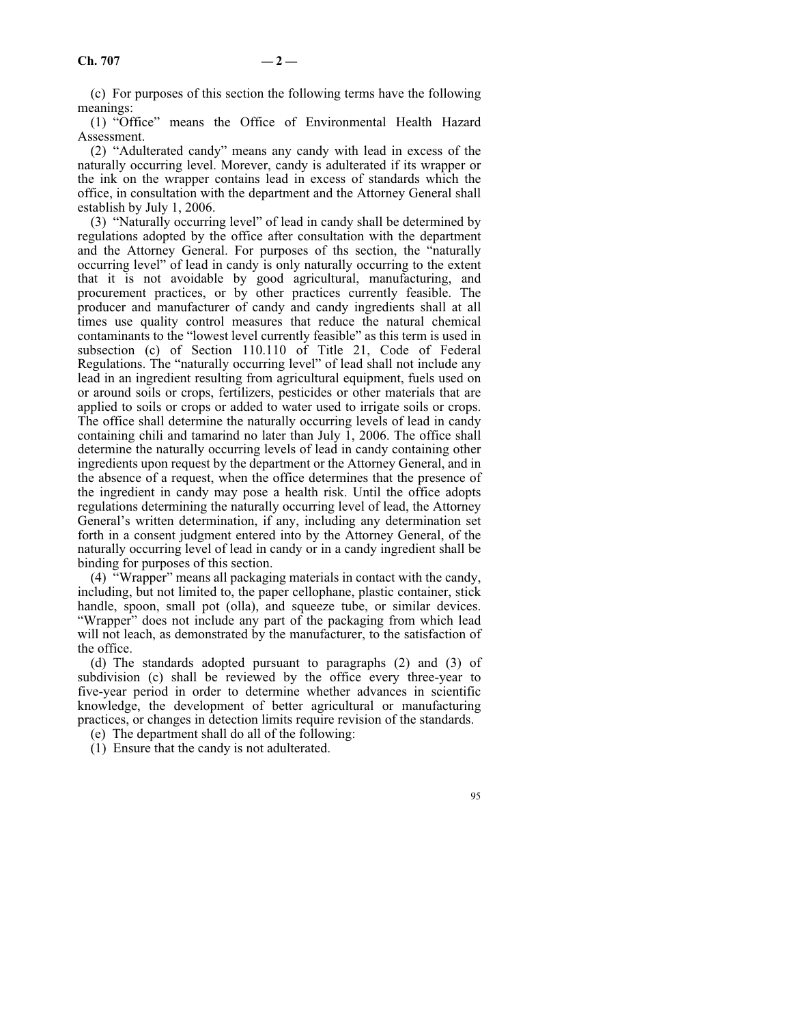(c) For purposes of this section the following terms have the following meanings:

 (1) "Office" means the Office of Environmental Health Hazard Assessment.

 (2) "Adulterated candy" means any candy with lead in excess of the naturally occurring level. Morever, candy is adulterated if its wrapper or the ink on the wrapper contains lead in excess of standards which the office, in consultation with the department and the Attorney General shall establish by July 1, 2006.

 (3) "Naturally occurring level" of lead in candy shall be determined by regulations adopted by the office after consultation with the department and the Attorney General. For purposes of ths section, the "naturally occurring level" of lead in candy is only naturally occurring to the extent that it is not avoidable by good agricultural, manufacturing, and procurement practices, or by other practices currently feasible. The producer and manufacturer of candy and candy ingredients shall at all times use quality control measures that reduce the natural chemical contaminants to the "lowest level currently feasible" as this term is used in subsection (c) of Section 110.110 of Title 21, Code of Federal Regulations. The "naturally occurring level" of lead shall not include any lead in an ingredient resulting from agricultural equipment, fuels used on or around soils or crops, fertilizers, pesticides or other materials that are applied to soils or crops or added to water used to irrigate soils or crops. The office shall determine the naturally occurring levels of lead in candy containing chili and tamarind no later than July 1, 2006. The office shall determine the naturally occurring levels of lead in candy containing other ingredients upon request by the department or the Attorney General, and in the absence of a request, when the office determines that the presence of the ingredient in candy may pose a health risk. Until the office adopts regulations determining the naturally occurring level of lead, the Attorney General's written determination, if any, including any determination set forth in a consent judgment entered into by the Attorney General, of the naturally occurring level of lead in candy or in a candy ingredient shall be binding for purposes of this section.

 (4) "Wrapper" means all packaging materials in contact with the candy, including, but not limited to, the paper cellophane, plastic container, stick handle, spoon, small pot (olla), and squeeze tube, or similar devices. "Wrapper" does not include any part of the packaging from which lead will not leach, as demonstrated by the manufacturer, to the satisfaction of the office.

 (d) The standards adopted pursuant to paragraphs (2) and (3) of subdivision (c) shall be reviewed by the office every three-year to five-year period in order to determine whether advances in scientific knowledge, the development of better agricultural or manufacturing practices, or changes in detection limits require revision of the standards.

- (e) The department shall do all of the following:
- (1) Ensure that the candy is not adulterated.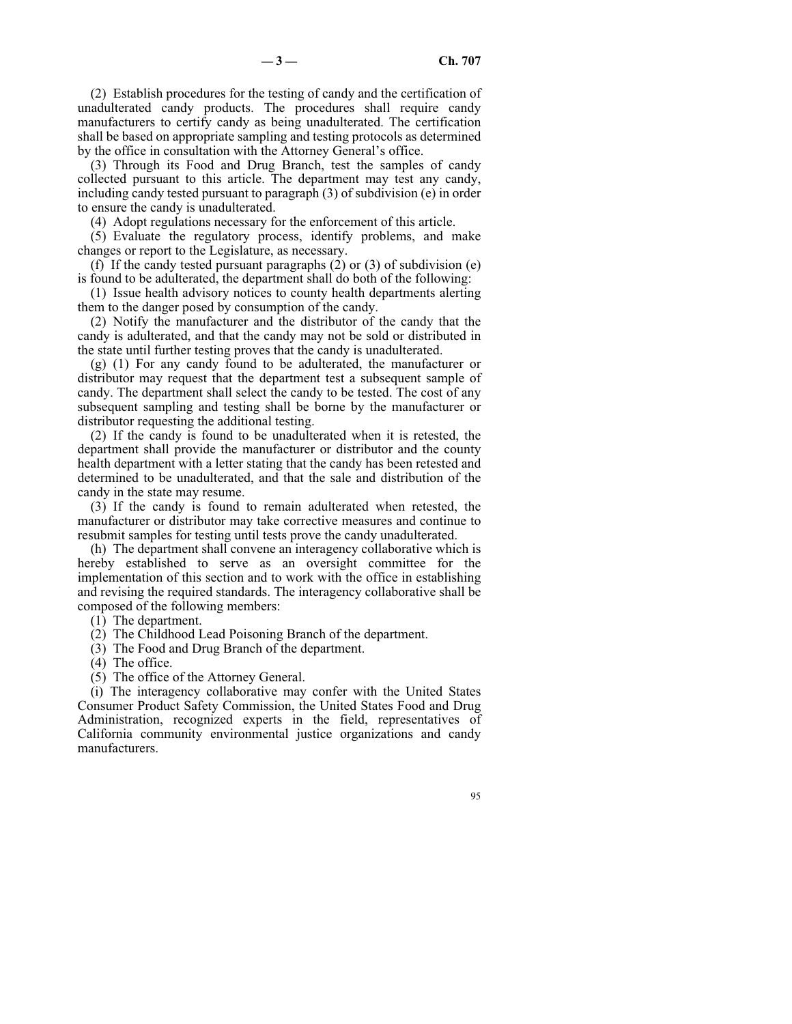(2) Establish procedures for the testing of candy and the certification of unadulterated candy products. The procedures shall require candy manufacturers to certify candy as being unadulterated. The certification shall be based on appropriate sampling and testing protocols as determined by the office in consultation with the Attorney General's office.

 (3) Through its Food and Drug Branch, test the samples of candy collected pursuant to this article. The department may test any candy, including candy tested pursuant to paragraph (3) of subdivision (e) in order to ensure the candy is unadulterated.

(4) Adopt regulations necessary for the enforcement of this article.

 (5) Evaluate the regulatory process, identify problems, and make changes or report to the Legislature, as necessary.

 (f) If the candy tested pursuant paragraphs (2) or (3) of subdivision (e) is found to be adulterated, the department shall do both of the following:

 (1) Issue health advisory notices to county health departments alerting them to the danger posed by consumption of the candy.

 (2) Notify the manufacturer and the distributor of the candy that the candy is adulterated, and that the candy may not be sold or distributed in the state until further testing proves that the candy is unadulterated.

 (g) (1) For any candy found to be adulterated, the manufacturer or distributor may request that the department test a subsequent sample of candy. The department shall select the candy to be tested. The cost of any subsequent sampling and testing shall be borne by the manufacturer or distributor requesting the additional testing.

 (2) If the candy is found to be unadulterated when it is retested, the department shall provide the manufacturer or distributor and the county health department with a letter stating that the candy has been retested and determined to be unadulterated, and that the sale and distribution of the candy in the state may resume.

 (3) If the candy is found to remain adulterated when retested, the manufacturer or distributor may take corrective measures and continue to resubmit samples for testing until tests prove the candy unadulterated.

 (h) The department shall convene an interagency collaborative which is hereby established to serve as an oversight committee for the implementation of this section and to work with the office in establishing and revising the required standards. The interagency collaborative shall be composed of the following members:

- (1) The department.
- (2) The Childhood Lead Poisoning Branch of the department.
- (3) The Food and Drug Branch of the department.
- (4) The office.
- (5) The office of the Attorney General.

 (i) The interagency collaborative may confer with the United States Consumer Product Safety Commission, the United States Food and Drug Administration, recognized experts in the field, representatives of California community environmental justice organizations and candy manufacturers.